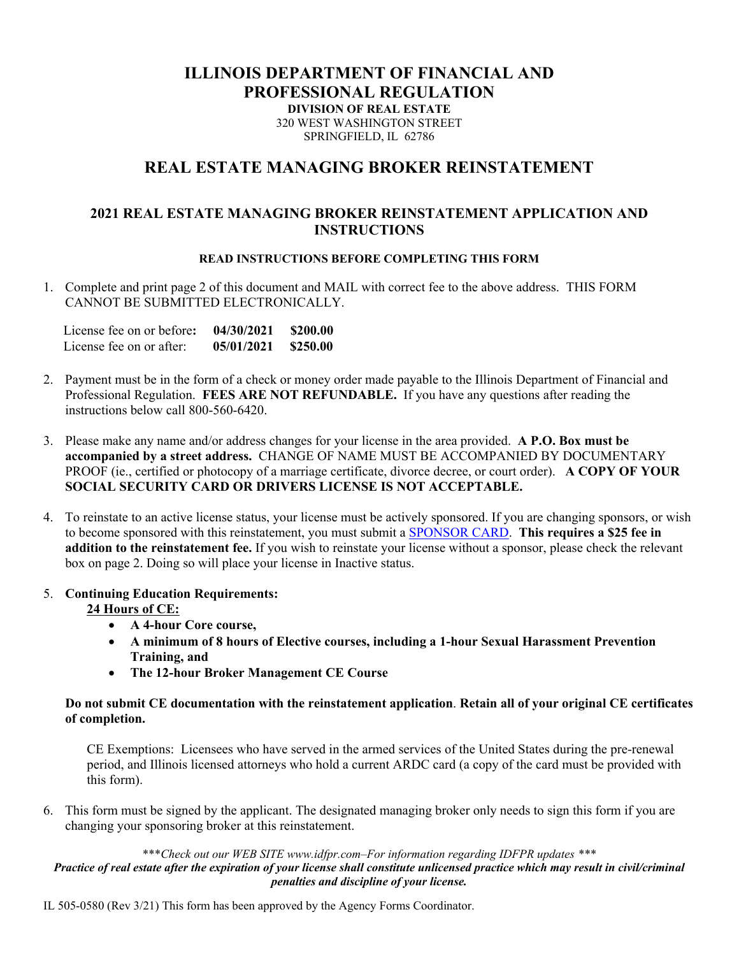## **ILLINOIS DEPARTMENT OF FINANCIAL AND PROFESSIONAL REGULATION DIVISION OF REAL ESTATE**  320 WEST WASHINGTON STREET SPRINGFIELD, IL 62786

## **REAL ESTATE MANAGING BROKER REINSTATEMENT**

## **2021 REAL ESTATE MANAGING BROKER REINSTATEMENT APPLICATION AND INSTRUCTIONS**

#### **READ INSTRUCTIONS BEFORE COMPLETING THIS FORM**

1. Complete and print page 2 of this document and MAIL with correct fee to the above address. THIS FORM CANNOT BE SUBMITTED ELECTRONICALLY.

| License fee on or before: | 04/30/2021 | \$200.00 |
|---------------------------|------------|----------|
| License fee on or after:  | 05/01/2021 | \$250.00 |

- 2. Payment must be in the form of a check or money order made payable to the Illinois Department of Financial and Professional Regulation. **FEES ARE NOT REFUNDABLE.** If you have any questions after reading the instructions below call 800-560-6420.
- 3. Please make any name and/or address changes for your license in the area provided. **A P.O. Box must be accompanied by a street address.** CHANGE OF NAME MUST BE ACCOMPANIED BY DOCUMENTARY PROOF (ie., certified or photocopy of a marriage certificate, divorce decree, or court order). **A COPY OF YOUR SOCIAL SECURITY CARD OR DRIVERS LICENSE IS NOT ACCEPTABLE.**
- 4. To reinstate to an active license status, your license must be actively sponsored. If you are changing sponsors, or wish to become sponsored with this reinstatement, you must submit a [SPONSOR CARD.](https://www.idfpr.com/Forms/DRE/re45day.pdf) **This requires a \$25 fee in addition to the reinstatement fee.** If you wish to reinstate your license without a sponsor, please check the relevant box on page 2. Doing so will place your license in Inactive status.

### 5. **Continuing Education Requirements:**

- **24 Hours of CE:** 
	- **A 4-hour Core course,**
	- **A minimum of 8 hours of Elective courses, including a 1-hour Sexual Harassment Prevention Training, and**
	- **The 12-hour Broker Management CE Course**

#### **Do not submit CE documentation with the reinstatement application**. **Retain all of your original CE certificates of completion.**

 CE Exemptions: Licensees who have served in the armed services of the United States during the pre-renewal period, and Illinois licensed attorneys who hold a current ARDC card (a copy of the card must be provided with this form).

6. This form must be signed by the applicant. The designated managing broker only needs to sign this form if you are changing your sponsoring broker at this reinstatement.

#### \*\*\**Check out our WEB SITE www.idfpr.com–For information regarding IDFPR updates \*\*\* Practice of real estate after the expiration of your license shall constitute unlicensed practice which may result in civil/criminal penalties and discipline of your license.*